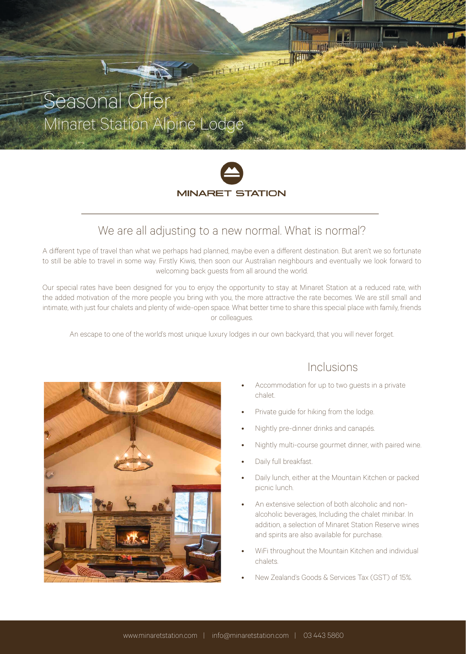# Seasonal Ofer Minaret Station Alpine Lodge



THE ELECTRIC LIBRARY

### We are all adjusting to a new normal. What is normal?

A diferent type of travel than what we perhaps had planned, maybe even a diferent destination. But aren't we so fortunate to still be able to travel in some way. Firstly Kiwis, then soon our Australian neighbours and eventually we look forward to welcoming back guests from all around the world.

Our special rates have been designed for you to enjoy the opportunity to stay at Minaret Station at a reduced rate, with the added motivation of the more people you bring with you, the more attractive the rate becomes. We are still small and intimate, with just four chalets and plenty of wide-open space. What better time to share this special place with family, friends or colleagues.

An escape to one of the world's most unique luxury lodges in our own backyard, that you will never forget.



### Inclusions

- Accommodation for up to two guests in a private chalet.
- Private guide for hiking from the lodge.
- Nightly pre-dinner drinks and canapés.
- Nightly multi-course gourmet dinner, with paired wine.
- Daily full breakfast.
- Daily lunch, either at the Mountain Kitchen or packed picnic lunch.
- An extensive selection of both alcoholic and nonalcoholic beverages, Including the chalet minibar. In addition, a selection of Minaret Station Reserve wines and spirits are also available for purchase.
- WiFi throughout the Mountain Kitchen and individual chalets.
- New Zealand's Goods & Services Tax (GST) of 15%.